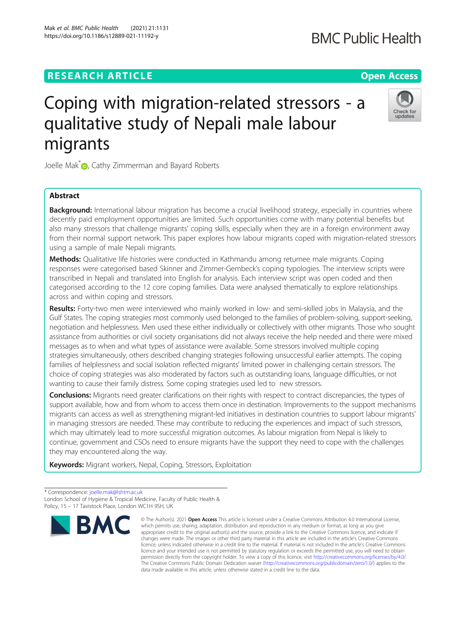# **RESEARCH ARTICLE Example 2014 12:30 The Contract of Contract ACCESS**

# Coping with migration-related stressors - a qualitative study of Nepali male labour migrants

Joelle Mak<sup>[\\*](http://orcid.org/0000-0002-8337-4141)</sup> <sub>(b</sub>, Cathy Zimmerman and Bayard Roberts

# Abstract

Background: International labour migration has become a crucial livelihood strategy, especially in countries where decently paid employment opportunities are limited. Such opportunities come with many potential benefits but also many stressors that challenge migrants' coping skills, especially when they are in a foreign environment away from their normal support network. This paper explores how labour migrants coped with migration-related stressors using a sample of male Nepali migrants.

Methods: Qualitative life histories were conducted in Kathmandu among returnee male migrants. Coping responses were categorised based Skinner and Zimmer-Gembeck's coping typologies. The interview scripts were transcribed in Nepali and translated into English for analysis. Each interview script was open coded and then categorised according to the 12 core coping families. Data were analysed thematically to explore relationships across and within coping and stressors.

Results: Forty-two men were interviewed who mainly worked in low- and semi-skilled jobs in Malaysia, and the Gulf States. The coping strategies most commonly used belonged to the families of problem-solving, support-seeking, negotiation and helplessness. Men used these either individually or collectively with other migrants. Those who sought assistance from authorities or civil society organisations did not always receive the help needed and there were mixed messages as to when and what types of assistance were available. Some stressors involved multiple coping strategies simultaneously, others described changing strategies following unsuccessful earlier attempts. The coping families of helplessness and social isolation reflected migrants' limited power in challenging certain stressors. The choice of coping strategies was also moderated by factors such as outstanding loans, language difficulties, or not wanting to cause their family distress. Some coping strategies used led to new stressors.

Conclusions: Migrants need greater clarifications on their rights with respect to contract discrepancies, the types of support available, how and from whom to access them once in destination. Improvements to the support mechanisms migrants can access as well as strengthening migrant-led initiatives in destination countries to support labour migrants' in managing stressors are needed. These may contribute to reducing the experiences and impact of such stressors, which may ultimately lead to more successful migration outcomes. As labour migration from Nepal is likely to continue, government and CSOs need to ensure migrants have the support they need to cope with the challenges they may encountered along the way.

Keywords: Migrant workers, Nepal, Coping, Stressors, Exploitation

\* Correspondence: [joelle.mak@lshtm.ac.uk](mailto:joelle.mak@lshtm.ac.uk) London School of Hygiene & Tropical Medicine, Faculty of Public Health & Policy, 15 – 17 Tavistock Place, London WC1H 9SH, UK



© The Author(s), 2021 **Open Access** This article is licensed under a Creative Commons Attribution 4.0 International License,



**BMC Public Health** 

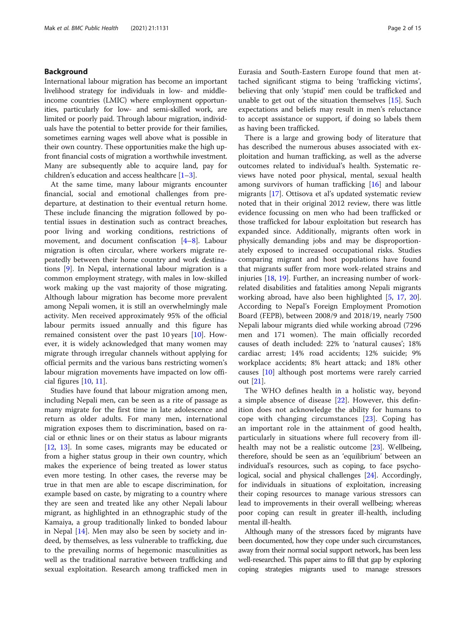# Background

International labour migration has become an important livelihood strategy for individuals in low- and middleincome countries (LMIC) where employment opportunities, particularly for low- and semi-skilled work, are limited or poorly paid. Through labour migration, individuals have the potential to better provide for their families, sometimes earning wages well above what is possible in their own country. These opportunities make the high upfront financial costs of migration a worthwhile investment. Many are subsequently able to acquire land, pay for children's education and access healthcare  $[1-3]$  $[1-3]$  $[1-3]$ .

At the same time, many labour migrants encounter financial, social and emotional challenges from predeparture, at destination to their eventual return home. These include financing the migration followed by potential issues in destination such as contract breaches, poor living and working conditions, restrictions of movement, and document confiscation [\[4](#page-13-0)–[8](#page-13-0)]. Labour migration is often circular, where workers migrate repeatedly between their home country and work destinations [\[9](#page-13-0)]. In Nepal, international labour migration is a common employment strategy, with males in low-skilled work making up the vast majority of those migrating. Although labour migration has become more prevalent among Nepali women, it is still an overwhelmingly male activity. Men received approximately 95% of the official labour permits issued annually and this figure has remained consistent over the past 10 years [[10](#page-13-0)]. However, it is widely acknowledged that many women may migrate through irregular channels without applying for official permits and the various bans restricting women's labour migration movements have impacted on low official figures [[10,](#page-13-0) [11\]](#page-13-0).

Studies have found that labour migration among men, including Nepali men, can be seen as a rite of passage as many migrate for the first time in late adolescence and return as older adults. For many men, international migration exposes them to discrimination, based on racial or ethnic lines or on their status as labour migrants [[12,](#page-13-0) [13](#page-13-0)]. In some cases, migrants may be educated or from a higher status group in their own country, which makes the experience of being treated as lower status even more testing. In other cases, the reverse may be true in that men are able to escape discrimination, for example based on caste, by migrating to a country where they are seen and treated like any other Nepali labour migrant, as highlighted in an ethnographic study of the Kamaiya, a group traditionally linked to bonded labour in Nepal [\[14](#page-13-0)]. Men may also be seen by society and indeed, by themselves, as less vulnerable to trafficking, due to the prevailing norms of hegemonic masculinities as well as the traditional narrative between trafficking and sexual exploitation. Research among trafficked men in Eurasia and South-Eastern Europe found that men attached significant stigma to being 'trafficking victims', believing that only 'stupid' men could be trafficked and unable to get out of the situation themselves [[15](#page-13-0)]. Such expectations and beliefs may result in men's reluctance to accept assistance or support, if doing so labels them as having been trafficked.

There is a large and growing body of literature that has described the numerous abuses associated with exploitation and human trafficking, as well as the adverse outcomes related to individual's health. Systematic reviews have noted poor physical, mental, sexual health among survivors of human trafficking [[16\]](#page-13-0) and labour migrants [\[17\]](#page-13-0). Ottisova et al's updated systematic review noted that in their original 2012 review, there was little evidence focussing on men who had been trafficked or those trafficked for labour exploitation but research has expanded since. Additionally, migrants often work in physically demanding jobs and may be disproportionately exposed to increased occupational risks. Studies comparing migrant and host populations have found that migrants suffer from more work-related strains and injuries [\[18](#page-13-0), [19](#page-13-0)]. Further, an increasing number of workrelated disabilities and fatalities among Nepali migrants working abroad, have also been highlighted [[5,](#page-13-0) [17](#page-13-0), [20](#page-13-0)]. According to Nepal's Foreign Employment Promotion Board (FEPB), between 2008/9 and 2018/19, nearly 7500 Nepali labour migrants died while working abroad (7296 men and 171 women). The main officially recorded causes of death included: 22% to 'natural causes'; 18% cardiac arrest; 14% road accidents; 12% suicide; 9% workplace accidents; 8% heart attack; and 18% other causes [\[10](#page-13-0)] although post mortems were rarely carried out [\[21](#page-13-0)].

The WHO defines health in a holistic way, beyond a simple absence of disease [\[22](#page-13-0)]. However, this definition does not acknowledge the ability for humans to cope with changing circumstances [[23\]](#page-13-0). Coping has an important role in the attainment of good health, particularly in situations where full recovery from illhealth may not be a realistic outcome [\[23\]](#page-13-0). Wellbeing, therefore, should be seen as an 'equilibrium' between an individual's resources, such as coping, to face psychological, social and physical challenges [[24](#page-13-0)]. Accordingly, for individuals in situations of exploitation, increasing their coping resources to manage various stressors can lead to improvements in their overall wellbeing; whereas poor coping can result in greater ill-health, including mental ill-health.

Although many of the stressors faced by migrants have been documented, how they cope under such circumstances, away from their normal social support network, has been less well-researched. This paper aims to fill that gap by exploring coping strategies migrants used to manage stressors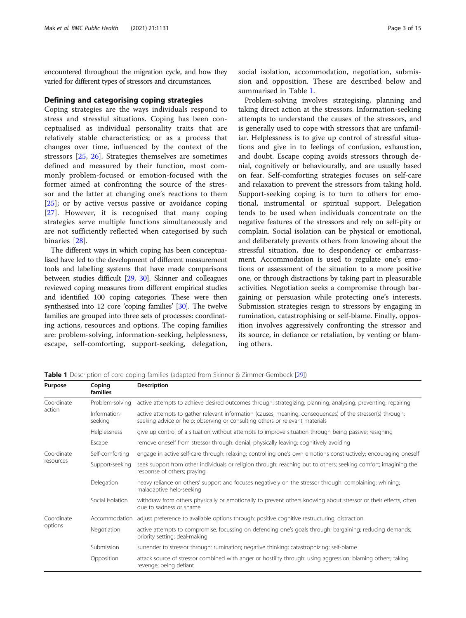encountered throughout the migration cycle, and how they varied for different types of stressors and circumstances.

#### Defining and categorising coping strategies

Coping strategies are the ways individuals respond to stress and stressful situations. Coping has been conceptualised as individual personality traits that are relatively stable characteristics; or as a process that changes over time, influenced by the context of the stressors [[25,](#page-13-0) [26](#page-13-0)]. Strategies themselves are sometimes defined and measured by their function, most commonly problem-focused or emotion-focused with the former aimed at confronting the source of the stressor and the latter at changing one's reactions to them [[25\]](#page-13-0); or by active versus passive or avoidance coping [[27\]](#page-13-0). However, it is recognised that many coping strategies serve multiple functions simultaneously and are not sufficiently reflected when categorised by such binaries [\[28](#page-13-0)].

The different ways in which coping has been conceptualised have led to the development of different measurement tools and labelling systems that have made comparisons between studies difficult [\[29,](#page-13-0) [30\]](#page-13-0). Skinner and colleagues reviewed coping measures from different empirical studies and identified 100 coping categories. These were then synthesised into 12 core 'coping families' [\[30](#page-13-0)]. The twelve families are grouped into three sets of processes: coordinating actions, resources and options. The coping families are: problem-solving, information-seeking, helplessness, escape, self-comforting, support-seeking, delegation, social isolation, accommodation, negotiation, submission and opposition. These are described below and summarised in Table 1.

Problem-solving involves strategising, planning and taking direct action at the stressors. Information-seeking attempts to understand the causes of the stressors, and is generally used to cope with stressors that are unfamiliar. Helplessness is to give up control of stressful situations and give in to feelings of confusion, exhaustion, and doubt. Escape coping avoids stressors through denial, cognitively or behaviourally, and are usually based on fear. Self-comforting strategies focuses on self-care and relaxation to prevent the stressors from taking hold. Support-seeking coping is to turn to others for emotional, instrumental or spiritual support. Delegation tends to be used when individuals concentrate on the negative features of the stressors and rely on self-pity or complain. Social isolation can be physical or emotional, and deliberately prevents others from knowing about the stressful situation, due to despondency or embarrassment. Accommodation is used to regulate one's emotions or assessment of the situation to a more positive one, or through distractions by taking part in pleasurable activities. Negotiation seeks a compromise through bargaining or persuasion while protecting one's interests. Submission strategies resign to stressors by engaging in rumination, catastrophising or self-blame. Finally, opposition involves aggressively confronting the stressor and its source, in defiance or retaliation, by venting or blaming others.

| Purpose                 | Coping<br><b>families</b> | <b>Description</b>                                                                                                                                                                         |
|-------------------------|---------------------------|--------------------------------------------------------------------------------------------------------------------------------------------------------------------------------------------|
| Coordinate<br>action    | Problem-solving           | active attempts to achieve desired outcomes through: strategizing; planning; analysing; preventing; repairing                                                                              |
|                         | Information-<br>seeking   | active attempts to gather relevant information (causes, meaning, consequences) of the stressor(s) through:<br>seeking advice or help; observing or consulting others or relevant materials |
|                         | Helplessness              | give up control of a situation without attempts to improve situation through being passive; resigning                                                                                      |
|                         | Escape                    | remove oneself from stressor through: denial; physically leaving; cognitively avoiding                                                                                                     |
| Coordinate<br>resources | Self-comforting           | engage in active self-care through: relaxing; controlling one's own emotions constructively; encouraging oneself                                                                           |
|                         | Support-seeking           | seek support from other individuals or religion through: reaching out to others; seeking comfort; imagining the<br>response of others; praying                                             |
|                         | Delegation                | heavy reliance on others' support and focuses negatively on the stressor through: complaining; whining;<br>maladaptive help-seeking                                                        |
|                         | Social isolation          | withdraw from others physically or emotionally to prevent others knowing about stressor or their effects, often<br>due to sadness or shame                                                 |
| Coordinate<br>options   | Accommodation             | adjust preference to available options through: positive cognitive restructuring; distraction                                                                                              |
|                         | Negotiation               | active attempts to compromise, focussing on defending one's goals through: bargaining; reducing demands;<br>priority setting; deal-making                                                  |
|                         | Submission                | surrender to stressor through: rumination; negative thinking; catastrophizing; self-blame                                                                                                  |
|                         | Opposition                | attack source of stressor combined with anger or hostility through: using aggression; blaming others; taking<br>revenge; being defiant                                                     |

Table 1 Description of core coping families (adapted from Skinner & Zimmer-Gembeck [\[29\]](#page-13-0))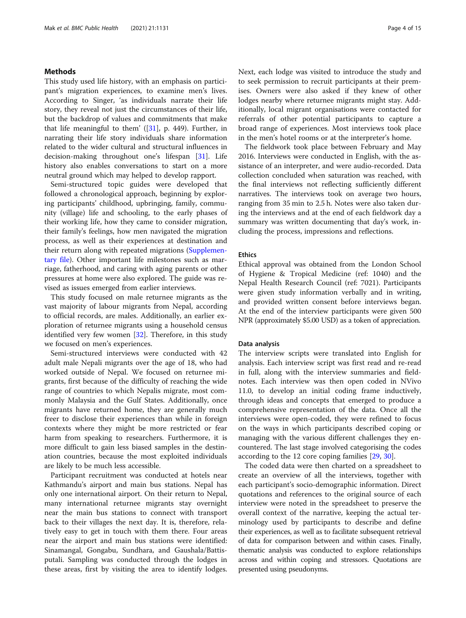# Methods

This study used life history, with an emphasis on participant's migration experiences, to examine men's lives. According to Singer, 'as individuals narrate their life story, they reveal not just the circumstances of their life, but the backdrop of values and commitments that make that life meaningful to them'  $([31]$  $([31]$ , p. 449). Further, in narrating their life story individuals share information related to the wider cultural and structural influences in decision-making throughout one's lifespan [\[31\]](#page-13-0). Life history also enables conversations to start on a more neutral ground which may helped to develop rapport.

Semi-structured topic guides were developed that followed a chronological approach, beginning by exploring participants' childhood, upbringing, family, community (village) life and schooling, to the early phases of their working life, how they came to consider migration, their family's feelings, how men navigated the migration process, as well as their experiences at destination and their return along with repeated migrations [\(Supplemen](#page-12-0)[tary file\)](#page-12-0). Other important life milestones such as marriage, fatherhood, and caring with aging parents or other pressures at home were also explored. The guide was revised as issues emerged from earlier interviews.

This study focused on male returnee migrants as the vast majority of labour migrants from Nepal, according to official records, are males. Additionally, an earlier exploration of returnee migrants using a household census identified very few women [[32\]](#page-13-0). Therefore, in this study we focused on men's experiences.

Semi-structured interviews were conducted with 42 adult male Nepali migrants over the age of 18, who had worked outside of Nepal. We focused on returnee migrants, first because of the difficulty of reaching the wide range of countries to which Nepalis migrate, most commonly Malaysia and the Gulf States. Additionally, once migrants have returned home, they are generally much freer to disclose their experiences than while in foreign contexts where they might be more restricted or fear harm from speaking to researchers. Furthermore, it is more difficult to gain less biased samples in the destination countries, because the most exploited individuals are likely to be much less accessible.

Participant recruitment was conducted at hotels near Kathmandu's airport and main bus stations. Nepal has only one international airport. On their return to Nepal, many international returnee migrants stay overnight near the main bus stations to connect with transport back to their villages the next day. It is, therefore, relatively easy to get in touch with them there. Four areas near the airport and main bus stations were identified: Sinamangal, Gongabu, Sundhara, and Gaushala/Battisputali. Sampling was conducted through the lodges in these areas, first by visiting the area to identify lodges.

Next, each lodge was visited to introduce the study and to seek permission to recruit participants at their premises. Owners were also asked if they knew of other lodges nearby where returnee migrants might stay. Additionally, local migrant organisations were contacted for referrals of other potential participants to capture a broad range of experiences. Most interviews took place in the men's hotel rooms or at the interpreter's home.

The fieldwork took place between February and May 2016. Interviews were conducted in English, with the assistance of an interpreter, and were audio-recorded. Data collection concluded when saturation was reached, with the final interviews not reflecting sufficiently different narratives. The interviews took on average two hours, ranging from 35 min to 2.5 h. Notes were also taken during the interviews and at the end of each fieldwork day a summary was written documenting that day's work, including the process, impressions and reflections.

#### **Ethics**

Ethical approval was obtained from the London School of Hygiene & Tropical Medicine (ref: 1040) and the Nepal Health Research Council (ref: 7021). Participants were given study information verbally and in writing, and provided written consent before interviews began. At the end of the interview participants were given 500 NPR (approximately \$5.00 USD) as a token of appreciation.

#### Data analysis

The interview scripts were translated into English for analysis. Each interview script was first read and re-read in full, along with the interview summaries and fieldnotes. Each interview was then open coded in NVivo 11.0, to develop an initial coding frame inductively, through ideas and concepts that emerged to produce a comprehensive representation of the data. Once all the interviews were open-coded, they were refined to focus on the ways in which participants described coping or managing with the various different challenges they encountered. The last stage involved categorising the codes according to the 12 core coping families [[29](#page-13-0), [30](#page-13-0)].

The coded data were then charted on a spreadsheet to create an overview of all the interviews, together with each participant's socio-demographic information. Direct quotations and references to the original source of each interview were noted in the spreadsheet to preserve the overall context of the narrative, keeping the actual terminology used by participants to describe and define their experiences, as well as to facilitate subsequent retrieval of data for comparison between and within cases. Finally, thematic analysis was conducted to explore relationships across and within coping and stressors. Quotations are presented using pseudonyms.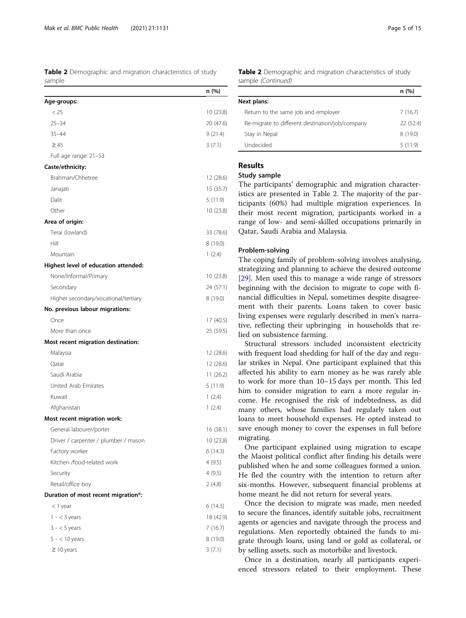Table 2 Demographic and migration characteristics of study sample

|                                      | n(%)      |
|--------------------------------------|-----------|
| Age-groups:                          |           |
| < 25                                 | 10 (23.8) |
| $25 - 34$                            | 20 (47.6) |
| $35 - 44$                            | 9(21.4)   |
| $\geq 45$                            | 3(7.1)    |
| Full age range: 21-53                |           |
| Caste/ethnicity:                     |           |
| Brahman/Chhetree                     | 12 (28.6) |
| Janajati                             | 15 (35.7) |
| Dalit                                | 5 (11.9)  |
| Other                                | 10 (23.8) |
| Area of origin:                      |           |
| Terai (lowland)                      | 33 (78.6) |
| Hill                                 | 8(19.0)   |
| Mountain                             | 1(2.4)    |
| Highest level of education attended: |           |
| None/Informal/Primary                | 10 (23.8) |
| Secondary                            | 24 (57.1) |
| Higher secondary/vocational/tertiary | 8 (19.0)  |
| No. previous labour migrations:      |           |
| Once                                 | 17 (40.5) |
| More than once                       | 25 (59.5) |
| Most recent migration destination:   |           |
| Malaysia                             | 12 (28.6) |
| Qatar                                | 12 (28.6) |
| Saudi Arabia                         | 11 (26.2) |
| United Arab Emirates                 | 5(11.9)   |
| Kuwait                               | 1(2.4)    |
| Afghanistan                          | 1(2.4)    |
| Most recent migration work:          |           |
| General labourer/porter              | 16 (38.1) |
| Driver / carpenter / plumber / mason | 10 (23.8) |
| Factory worker                       | 6(14.3)   |
| Kitchen /food-related work           | 4(9.5)    |
| Security                             | 4(9.5)    |
| Retail/office boy                    | 2 (4.8)   |
| Duration of most recent migration*:  |           |
| < 1 year                             | 6(14.3)   |
| $1 - < 3$ years                      | 18 (42.9) |
| $3 - 5$ years                        | 7(16.7)   |
| $5 - < 10$ years                     | 8 (19.0)  |
| $\geq$ 10 years                      | 3(7.1)    |

| <b>Table 2</b> Demographic and migration characteristics of study |  |  |
|-------------------------------------------------------------------|--|--|
| sample (Continued)                                                |  |  |

|                                                 | n (%)     |
|-------------------------------------------------|-----------|
| Next plans:                                     |           |
| Return to the same job and employer             | 7(16.7)   |
| Re-migrate to different destination/job/company | 22 (52.4) |
| Stay in Nepal                                   | 8(19.0)   |
| Undecided                                       | 5(11.9)   |

# Results

# Study sample

The participants' demographic and migration characteristics are presented in Table 2. The majority of the participants (60%) had multiple migration experiences. In their most recent migration, participants worked in a range of low- and semi-skilled occupations primarily in Qatar, Saudi Arabia and Malaysia.

# Problem-solving

The coping family of problem-solving involves analysing, strategizing and planning to achieve the desired outcome [[29\]](#page-13-0). Men used this to manage a wide range of stressors beginning with the decision to migrate to cope with financial difficulties in Nepal, sometimes despite disagreement with their parents. Loans taken to cover basic living expenses were regularly described in men's narrative, reflecting their upbringing in households that relied on subsistence farming.

Structural stressors included inconsistent electricity with frequent load shedding for half of the day and regular strikes in Nepal. One participant explained that this affected his ability to earn money as he was rarely able to work for more than 10–15 days per month. This led him to consider migration to earn a more regular income. He recognised the risk of indebtedness, as did many others, whose families had regularly taken out loans to meet household expenses. He opted instead to save enough money to cover the expenses in full before migrating.

One participant explained using migration to escape the Maoist political conflict after finding his details were published when he and some colleagues formed a union. He fled the country with the intention to return after six-months. However, subsequent financial problems at home meant he did not return for several years.

Once the decision to migrate was made, men needed to secure the finances, identify suitable jobs, recruitment agents or agencies and navigate through the process and regulations. Men reportedly obtained the funds to migrate through loans, using land or gold as collateral, or by selling assets, such as motorbike and livestock.

Once in a destination, nearly all participants experienced stressors related to their employment. These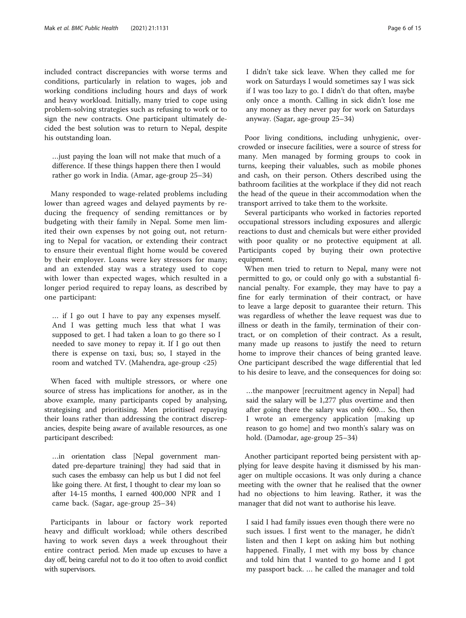included contract discrepancies with worse terms and conditions, particularly in relation to wages, job and working conditions including hours and days of work and heavy workload. Initially, many tried to cope using problem-solving strategies such as refusing to work or to sign the new contracts. One participant ultimately decided the best solution was to return to Nepal, despite his outstanding loan.

…just paying the loan will not make that much of a difference. If these things happen there then I would rather go work in India. (Amar, age-group 25–34)

Many responded to wage-related problems including lower than agreed wages and delayed payments by reducing the frequency of sending remittances or by budgeting with their family in Nepal. Some men limited their own expenses by not going out, not returning to Nepal for vacation, or extending their contract to ensure their eventual flight home would be covered by their employer. Loans were key stressors for many; and an extended stay was a strategy used to cope with lower than expected wages, which resulted in a longer period required to repay loans, as described by one participant:

… if I go out I have to pay any expenses myself. And I was getting much less that what I was supposed to get. I had taken a loan to go there so I needed to save money to repay it. If I go out then there is expense on taxi, bus; so, I stayed in the room and watched TV. (Mahendra, age-group <25)

When faced with multiple stressors, or where one source of stress has implications for another, as in the above example, many participants coped by analysing, strategising and prioritising. Men prioritised repaying their loans rather than addressing the contract discrepancies, despite being aware of available resources, as one participant described:

…in orientation class [Nepal government mandated pre-departure training] they had said that in such cases the embassy can help us but I did not feel like going there. At first, I thought to clear my loan so after 14-15 months, I earned 400,000 NPR and I came back. (Sagar, age-group 25–34)

Participants in labour or factory work reported heavy and difficult workload; while others described having to work seven days a week throughout their entire contract period. Men made up excuses to have a day off, being careful not to do it too often to avoid conflict with supervisors.

I didn't take sick leave. When they called me for work on Saturdays I would sometimes say I was sick if I was too lazy to go. I didn't do that often, maybe only once a month. Calling in sick didn't lose me any money as they never pay for work on Saturdays anyway. (Sagar, age-group 25–34)

Poor living conditions, including unhygienic, overcrowded or insecure facilities, were a source of stress for many. Men managed by forming groups to cook in turns, keeping their valuables, such as mobile phones and cash, on their person. Others described using the bathroom facilities at the workplace if they did not reach the head of the queue in their accommodation when the transport arrived to take them to the worksite.

Several participants who worked in factories reported occupational stressors including exposures and allergic reactions to dust and chemicals but were either provided with poor quality or no protective equipment at all. Participants coped by buying their own protective equipment.

When men tried to return to Nepal, many were not permitted to go, or could only go with a substantial financial penalty. For example, they may have to pay a fine for early termination of their contract, or have to leave a large deposit to guarantee their return. This was regardless of whether the leave request was due to illness or death in the family, termination of their contract, or on completion of their contract. As a result, many made up reasons to justify the need to return home to improve their chances of being granted leave. One participant described the wage differential that led to his desire to leave, and the consequences for doing so:

…the manpower [recruitment agency in Nepal] had said the salary will be 1,277 plus overtime and then after going there the salary was only 600… So, then I wrote an emergency application [making up reason to go home] and two month's salary was on hold. (Damodar, age-group 25–34)

Another participant reported being persistent with applying for leave despite having it dismissed by his manager on multiple occasions. It was only during a chance meeting with the owner that he realised that the owner had no objections to him leaving. Rather, it was the manager that did not want to authorise his leave.

I said I had family issues even though there were no such issues. I first went to the manager, he didn't listen and then I kept on asking him but nothing happened. Finally, I met with my boss by chance and told him that I wanted to go home and I got my passport back. … he called the manager and told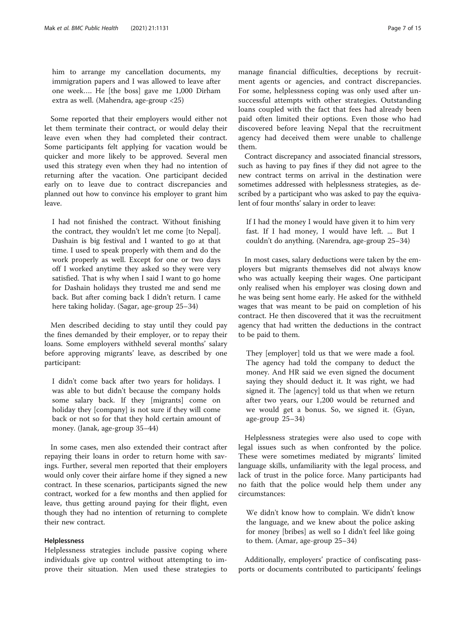him to arrange my cancellation documents, my immigration papers and I was allowed to leave after one week…. He [the boss] gave me 1,000 Dirham extra as well. (Mahendra, age-group <25)

Some reported that their employers would either not let them terminate their contract, or would delay their leave even when they had completed their contract. Some participants felt applying for vacation would be quicker and more likely to be approved. Several men used this strategy even when they had no intention of returning after the vacation. One participant decided early on to leave due to contract discrepancies and planned out how to convince his employer to grant him leave.

I had not finished the contract. Without finishing the contract, they wouldn't let me come [to Nepal]. Dashain is big festival and I wanted to go at that time. I used to speak properly with them and do the work properly as well. Except for one or two days off I worked anytime they asked so they were very satisfied. That is why when I said I want to go home for Dashain holidays they trusted me and send me back. But after coming back I didn't return. I came here taking holiday. (Sagar, age-group 25–34)

Men described deciding to stay until they could pay the fines demanded by their employer, or to repay their loans. Some employers withheld several months' salary before approving migrants' leave, as described by one participant:

I didn't come back after two years for holidays. I was able to but didn't because the company holds some salary back. If they [migrants] come on holiday they [company] is not sure if they will come back or not so for that they hold certain amount of money. (Janak, age-group 35–44)

In some cases, men also extended their contract after repaying their loans in order to return home with savings. Further, several men reported that their employers would only cover their airfare home if they signed a new contract. In these scenarios, participants signed the new contract, worked for a few months and then applied for leave, thus getting around paying for their flight, even though they had no intention of returning to complete their new contract.

#### Helplessness

Helplessness strategies include passive coping where individuals give up control without attempting to improve their situation. Men used these strategies to manage financial difficulties, deceptions by recruitment agents or agencies, and contract discrepancies. For some, helplessness coping was only used after unsuccessful attempts with other strategies. Outstanding loans coupled with the fact that fees had already been paid often limited their options. Even those who had discovered before leaving Nepal that the recruitment agency had deceived them were unable to challenge them.

Contract discrepancy and associated financial stressors, such as having to pay fines if they did not agree to the new contract terms on arrival in the destination were sometimes addressed with helplessness strategies, as described by a participant who was asked to pay the equivalent of four months' salary in order to leave:

If I had the money I would have given it to him very fast. If I had money, I would have left. ... But I couldn't do anything. (Narendra, age-group 25–34)

In most cases, salary deductions were taken by the employers but migrants themselves did not always know who was actually keeping their wages. One participant only realised when his employer was closing down and he was being sent home early. He asked for the withheld wages that was meant to be paid on completion of his contract. He then discovered that it was the recruitment agency that had written the deductions in the contract to be paid to them.

They [employer] told us that we were made a fool. The agency had told the company to deduct the money. And HR said we even signed the document saying they should deduct it. It was right, we had signed it. The [agency] told us that when we return after two years, our 1,200 would be returned and we would get a bonus. So, we signed it. (Gyan, age-group 25–34)

Helplessness strategies were also used to cope with legal issues such as when confronted by the police. These were sometimes mediated by migrants' limited language skills, unfamiliarity with the legal process, and lack of trust in the police force. Many participants had no faith that the police would help them under any circumstances:

We didn't know how to complain. We didn't know the language, and we knew about the police asking for money [bribes] as well so I didn't feel like going to them. (Amar, age-group 25–34)

Additionally, employers' practice of confiscating passports or documents contributed to participants' feelings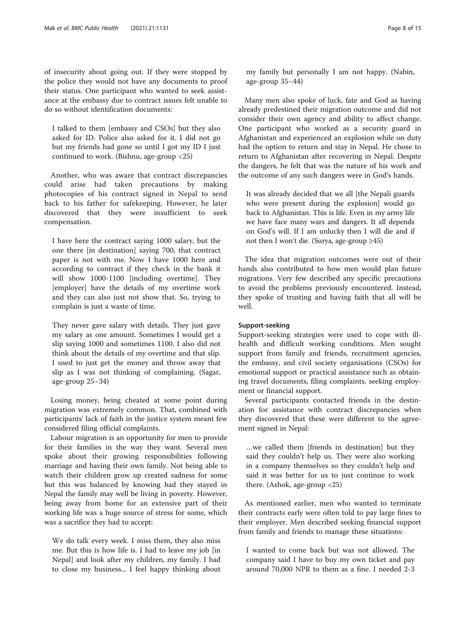of insecurity about going out. If they were stopped by the police they would not have any documents to proof their status. One participant who wanted to seek assistance at the embassy due to contract issues felt unable to do so without identification documents:

I talked to them [embassy and CSOs] but they also asked for ID. Police also asked for it. I did not go but my friends had gone so until I got my ID I just continued to work. (Bishnu, age-group <25)

Another, who was aware that contract discrepancies could arise had taken precautions by making photocopies of his contract signed in Nepal to send back to his father for safekeeping. However, he later discovered that they were insufficient to seek compensation.

I have here the contract saying 1000 salary, but the one there [in destination] saying 700, that contract paper is not with me. Now I have 1000 here and according to contract if they check in the bank it will show 1000-1100 [including overtime]. They [employer] have the details of my overtime work and they can also just not show that. So, trying to complain is just a waste of time.

They never gave salary with details. They just gave my salary as one amount. Sometimes I would get a slip saying 1000 and sometimes 1100. I also did not think about the details of my overtime and that slip. I used to just get the money and throw away that slip as I was not thinking of complaining. (Sagar, age-group 25–34)

Losing money, being cheated at some point during migration was extremely common. That, combined with participants' lack of faith in the justice system meant few considered filing official complaints.

Labour migration is an opportunity for men to provide for their families in the way they want. Several men spoke about their growing responsibilities following marriage and having their own family. Not being able to watch their children grow up created sadness for some but this was balanced by knowing had they stayed in Nepal the family may well be living in poverty. However, being away from home for an extensive part of their working life was a huge source of stress for some, which was a sacrifice they had to accept:

We do talk every week. I miss them, they also miss me. But this is how life is. I had to leave my job [in Nepal] and look after my children, my family. I had to close my business... I feel happy thinking about my family but personally I am not happy. (Nabin, age-group 35–44)

Many men also spoke of luck, fate and God as having already predestined their migration outcome and did not consider their own agency and ability to affect change. One participant who worked as a security guard in Afghanistan and experienced an explosion while on duty had the option to return and stay in Nepal. He chose to return to Afghanistan after recovering in Nepal. Despite the dangers, he felt that was the nature of his work and the outcome of any such dangers were in God's hands.

It was already decided that we all [the Nepali guards who were present during the explosion] would go back to Afghanistan. This is life. Even in my army life we have face many wars and dangers. It all depends on God's will. If I am unlucky then I will die and if not then I won't die. (Surya, age-group ≥45)

The idea that migration outcomes were out of their hands also contributed to how men would plan future migrations. Very few described any specific precautions to avoid the problems previously encountered. Instead, they spoke of trusting and having faith that all will be well.

# Support-seeking

Support-seeking strategies were used to cope with illhealth and difficult working conditions. Men sought support from family and friends, recruitment agencies, the embassy, and civil society organisations (CSOs) for emotional support or practical assistance such as obtaining travel documents, filing complaints, seeking employment or financial support.

Several participants contacted friends in the destination for assistance with contract discrepancies when they discovered that these were different to the agreement signed in Nepal:

…we called them [friends in destination] but they said they couldn't help us. They were also working in a company themselves so they couldn't help and said it was better for us to just continue to work there. (Ashok, age-group <25)

As mentioned earlier, men who wanted to terminate their contracts early were often told to pay large fines to their employer. Men described seeking financial support from family and friends to manage these situations:

I wanted to come back but was not allowed. The company said I have to buy my own ticket and pay around 70,000 NPR to them as a fine. I needed 2-3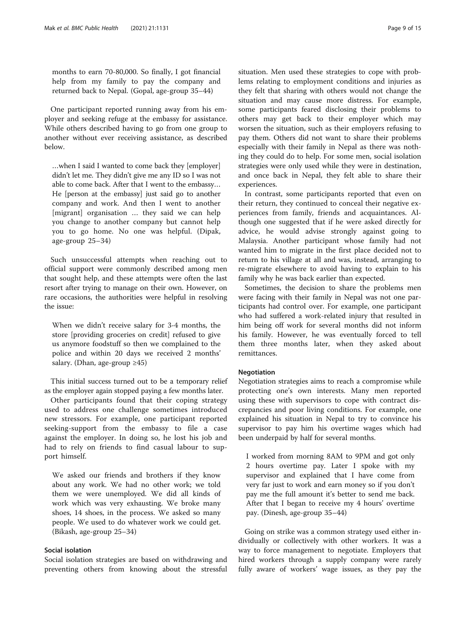months to earn 70-80,000. So finally, I got financial help from my family to pay the company and returned back to Nepal. (Gopal, age-group 35–44)

One participant reported running away from his employer and seeking refuge at the embassy for assistance. While others described having to go from one group to another without ever receiving assistance, as described below.

…when I said I wanted to come back they [employer] didn't let me. They didn't give me any ID so I was not able to come back. After that I went to the embassy… He [person at the embassy] just said go to another company and work. And then I went to another [migrant] organisation … they said we can help you change to another company but cannot help you to go home. No one was helpful. (Dipak, age-group 25–34)

Such unsuccessful attempts when reaching out to official support were commonly described among men that sought help, and these attempts were often the last resort after trying to manage on their own. However, on rare occasions, the authorities were helpful in resolving the issue:

When we didn't receive salary for 3-4 months, the store [providing groceries on credit] refused to give us anymore foodstuff so then we complained to the police and within 20 days we received 2 months' salary. (Dhan, age-group  $\geq 45$ )

This initial success turned out to be a temporary relief as the employer again stopped paying a few months later.

Other participants found that their coping strategy used to address one challenge sometimes introduced new stressors. For example, one participant reported seeking-support from the embassy to file a case against the employer. In doing so, he lost his job and had to rely on friends to find casual labour to support himself.

We asked our friends and brothers if they know about any work. We had no other work; we told them we were unemployed. We did all kinds of work which was very exhausting. We broke many shoes, 14 shoes, in the process. We asked so many people. We used to do whatever work we could get. (Bikash, age-group 25–34)

# Social isolation

Social isolation strategies are based on withdrawing and preventing others from knowing about the stressful situation. Men used these strategies to cope with problems relating to employment conditions and injuries as they felt that sharing with others would not change the situation and may cause more distress. For example, some participants feared disclosing their problems to others may get back to their employer which may worsen the situation, such as their employers refusing to pay them. Others did not want to share their problems especially with their family in Nepal as there was nothing they could do to help. For some men, social isolation strategies were only used while they were in destination, and once back in Nepal, they felt able to share their experiences.

In contrast, some participants reported that even on their return, they continued to conceal their negative experiences from family, friends and acquaintances. Although one suggested that if he were asked directly for advice, he would advise strongly against going to Malaysia. Another participant whose family had not wanted him to migrate in the first place decided not to return to his village at all and was, instead, arranging to re-migrate elsewhere to avoid having to explain to his family why he was back earlier than expected.

Sometimes, the decision to share the problems men were facing with their family in Nepal was not one participants had control over. For example, one participant who had suffered a work-related injury that resulted in him being off work for several months did not inform his family. However, he was eventually forced to tell them three months later, when they asked about remittances.

#### Negotiation

Negotiation strategies aims to reach a compromise while protecting one's own interests. Many men reported using these with supervisors to cope with contract discrepancies and poor living conditions. For example, one explained his situation in Nepal to try to convince his supervisor to pay him his overtime wages which had been underpaid by half for several months.

I worked from morning 8AM to 9PM and got only 2 hours overtime pay. Later I spoke with my supervisor and explained that I have come from very far just to work and earn money so if you don't pay me the full amount it's better to send me back. After that I began to receive my 4 hours' overtime pay. (Dinesh, age-group 35–44)

Going on strike was a common strategy used either individually or collectively with other workers. It was a way to force management to negotiate. Employers that hired workers through a supply company were rarely fully aware of workers' wage issues, as they pay the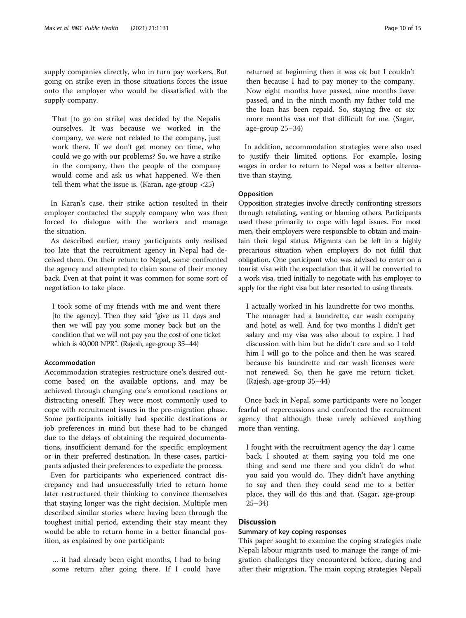supply companies directly, who in turn pay workers. But going on strike even in those situations forces the issue onto the employer who would be dissatisfied with the supply company.

That [to go on strike] was decided by the Nepalis ourselves. It was because we worked in the company, we were not related to the company, just work there. If we don't get money on time, who could we go with our problems? So, we have a strike in the company, then the people of the company would come and ask us what happened. We then tell them what the issue is. (Karan, age-group <25)

In Karan's case, their strike action resulted in their employer contacted the supply company who was then forced to dialogue with the workers and manage the situation.

As described earlier, many participants only realised too late that the recruitment agency in Nepal had deceived them. On their return to Nepal, some confronted the agency and attempted to claim some of their money back. Even at that point it was common for some sort of negotiation to take place.

I took some of my friends with me and went there [to the agency]. Then they said "give us 11 days and then we will pay you some money back but on the condition that we will not pay you the cost of one ticket which is 40,000 NPR". (Rajesh, age-group 35–44)

# Accommodation

Accommodation strategies restructure one's desired outcome based on the available options, and may be achieved through changing one's emotional reactions or distracting oneself. They were most commonly used to cope with recruitment issues in the pre-migration phase. Some participants initially had specific destinations or job preferences in mind but these had to be changed due to the delays of obtaining the required documentations, insufficient demand for the specific employment or in their preferred destination. In these cases, participants adjusted their preferences to expediate the process.

Even for participants who experienced contract discrepancy and had unsuccessfully tried to return home later restructured their thinking to convince themselves that staying longer was the right decision. Multiple men described similar stories where having been through the toughest initial period, extending their stay meant they would be able to return home in a better financial position, as explained by one participant:

… it had already been eight months, I had to bring some return after going there. If I could have

returned at beginning then it was ok but I couldn't then because I had to pay money to the company. Now eight months have passed, nine months have passed, and in the ninth month my father told me the loan has been repaid. So, staying five or six more months was not that difficult for me. (Sagar, age-group 25–34)

In addition, accommodation strategies were also used to justify their limited options. For example, losing wages in order to return to Nepal was a better alternative than staying.

### Opposition

Opposition strategies involve directly confronting stressors through retaliating, venting or blaming others. Participants used these primarily to cope with legal issues. For most men, their employers were responsible to obtain and maintain their legal status. Migrants can be left in a highly precarious situation when employers do not fulfil that obligation. One participant who was advised to enter on a tourist visa with the expectation that it will be converted to a work visa, tried initially to negotiate with his employer to apply for the right visa but later resorted to using threats.

I actually worked in his laundrette for two months. The manager had a laundrette, car wash company and hotel as well. And for two months I didn't get salary and my visa was also about to expire. I had discussion with him but he didn't care and so I told him I will go to the police and then he was scared because his laundrette and car wash licenses were not renewed. So, then he gave me return ticket. (Rajesh, age-group 35–44)

Once back in Nepal, some participants were no longer fearful of repercussions and confronted the recruitment agency that although these rarely achieved anything more than venting.

I fought with the recruitment agency the day I came back. I shouted at them saying you told me one thing and send me there and you didn't do what you said you would do. They didn't have anything to say and then they could send me to a better place, they will do this and that. (Sagar, age-group 25–34)

#### Discussion

# Summary of key coping responses

This paper sought to examine the coping strategies male Nepali labour migrants used to manage the range of migration challenges they encountered before, during and after their migration. The main coping strategies Nepali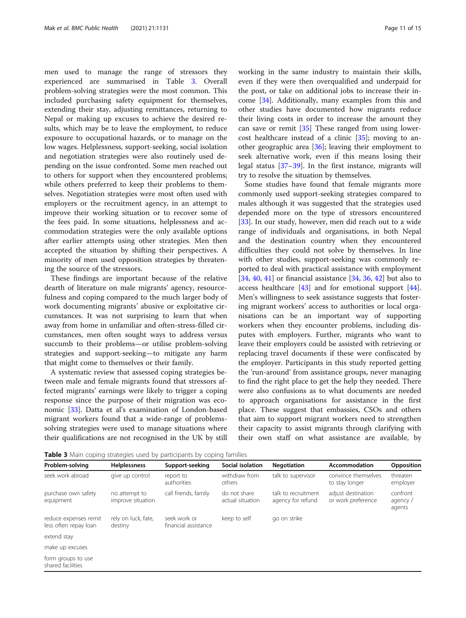men used to manage the range of stressors they experienced are summarised in Table 3. Overall problem-solving strategies were the most common. This included purchasing safety equipment for themselves, extending their stay, adjusting remittances, returning to Nepal or making up excuses to achieve the desired results, which may be to leave the employment, to reduce exposure to occupational hazards, or to manage on the low wages. Helplessness, support-seeking, social isolation and negotiation strategies were also routinely used depending on the issue confronted. Some men reached out to others for support when they encountered problems; while others preferred to keep their problems to themselves. Negotiation strategies were most often used with employers or the recruitment agency, in an attempt to improve their working situation or to recover some of the fees paid. In some situations, helplessness and accommodation strategies were the only available options after earlier attempts using other strategies. Men then accepted the situation by shifting their perspectives. A minority of men used opposition strategies by threatening the source of the stressors.

These findings are important because of the relative dearth of literature on male migrants' agency, resourcefulness and coping compared to the much larger body of work documenting migrants' abusive or exploitative circumstances. It was not surprising to learn that when away from home in unfamiliar and often-stress-filled circumstances, men often sought ways to address versus succumb to their problems—or utilise problem-solving strategies and support-seeking—to mitigate any harm that might come to themselves or their family.

A systematic review that assessed coping strategies between male and female migrants found that stressors affected migrants' earnings were likely to trigger a coping response since the purpose of their migration was economic [[33\]](#page-13-0). Datta et al's examination of London-based migrant workers found that a wide-range of problemssolving strategies were used to manage situations where their qualifications are not recognised in the UK by still working in the same industry to maintain their skills, even if they were then overqualified and underpaid for the post, or take on additional jobs to increase their income [\[34](#page-13-0)]. Additionally, many examples from this and other studies have documented how migrants reduce their living costs in order to increase the amount they can save or remit  $[35]$  $[35]$  These ranged from using lowercost healthcare instead of a clinic [\[35](#page-14-0)]; moving to another geographic area [[36\]](#page-14-0); leaving their employment to seek alternative work, even if this means losing their legal status [[37](#page-14-0)–[39](#page-14-0)]. In the first instance, migrants will try to resolve the situation by themselves.

Some studies have found that female migrants more commonly used support-seeking strategies compared to males although it was suggested that the strategies used depended more on the type of stressors encountered [[33\]](#page-13-0). In our study, however, men did reach out to a wide range of individuals and organisations, in both Nepal and the destination country when they encountered difficulties they could not solve by themselves. In line with other studies, support-seeking was commonly reported to deal with practical assistance with employment [[34,](#page-13-0) [40,](#page-14-0) [41\]](#page-14-0) or financial assistance  $[34, 36, 42]$  $[34, 36, 42]$  $[34, 36, 42]$  $[34, 36, 42]$  $[34, 36, 42]$  but also to access healthcare [[43](#page-14-0)] and for emotional support [\[44](#page-14-0)]. Men's willingness to seek assistance suggests that fostering migrant workers' access to authorities or local organisations can be an important way of supporting workers when they encounter problems, including disputes with employers. Further, migrants who want to leave their employers could be assisted with retrieving or replacing travel documents if these were confiscated by the employer. Participants in this study reported getting the 'run-around' from assistance groups, never managing to find the right place to get the help they needed. There were also confusions as to what documents are needed to approach organisations for assistance in the first place. These suggest that embassies, CSOs and others that aim to support migrant workers need to strengthen their capacity to assist migrants through clarifying with their own staff on what assistance are available, by

**Table 3** Main coping strategies used by participants by coping families

| Problem-solving                                | <b>Helplessness</b>                | Support-seeking                      | Social isolation                 | <b>Negotiation</b>                       | Accommodation                            | Opposition                     |  |  |  |
|------------------------------------------------|------------------------------------|--------------------------------------|----------------------------------|------------------------------------------|------------------------------------------|--------------------------------|--|--|--|
| seek work abroad                               | give up control                    | report to<br>authorities             | withdraw from<br>others          | talk to supervisor                       | convince themselves<br>to stay longer    | threaten<br>employer           |  |  |  |
| purchase own safety<br>equipment               | no attempt to<br>improve situation | call friends, family                 | do not share<br>actual situation | talk to recruitment<br>agency for refund | adjust destination<br>or work preference | confront<br>agency /<br>agents |  |  |  |
| reduce expenses remit<br>less often repay loan | rely on luck, fate,<br>destiny     | seek work or<br>financial assistance | keep to self                     | go on strike                             |                                          |                                |  |  |  |
| extend stay                                    |                                    |                                      |                                  |                                          |                                          |                                |  |  |  |
| make up excuses                                |                                    |                                      |                                  |                                          |                                          |                                |  |  |  |
| form groups to use<br>shared facilities        |                                    |                                      |                                  |                                          |                                          |                                |  |  |  |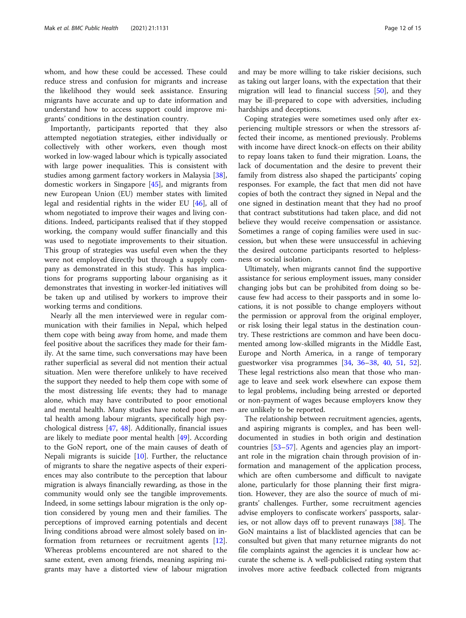whom, and how these could be accessed. These could reduce stress and confusion for migrants and increase the likelihood they would seek assistance. Ensuring migrants have accurate and up to date information and understand how to access support could improve migrants' conditions in the destination country.

Importantly, participants reported that they also attempted negotiation strategies, either individually or collectively with other workers, even though most worked in low-waged labour which is typically associated with large power inequalities. This is consistent with studies among garment factory workers in Malaysia [\[38](#page-14-0)], domestic workers in Singapore [\[45\]](#page-14-0), and migrants from new European Union (EU) member states with limited legal and residential rights in the wider EU [\[46](#page-14-0)], all of whom negotiated to improve their wages and living conditions. Indeed, participants realised that if they stopped working, the company would suffer financially and this was used to negotiate improvements to their situation. This group of strategies was useful even when the they were not employed directly but through a supply company as demonstrated in this study. This has implications for programs supporting labour organising as it demonstrates that investing in worker-led initiatives will be taken up and utilised by workers to improve their working terms and conditions.

Nearly all the men interviewed were in regular communication with their families in Nepal, which helped them cope with being away from home, and made them feel positive about the sacrifices they made for their family. At the same time, such conversations may have been rather superficial as several did not mention their actual situation. Men were therefore unlikely to have received the support they needed to help them cope with some of the most distressing life events; they had to manage alone, which may have contributed to poor emotional and mental health. Many studies have noted poor mental health among labour migrants, specifically high psychological distress [[47](#page-14-0), [48\]](#page-14-0). Additionally, financial issues are likely to mediate poor mental health [[49\]](#page-14-0). According to the GoN report, one of the main causes of death of Nepali migrants is suicide [\[10](#page-13-0)]. Further, the reluctance of migrants to share the negative aspects of their experiences may also contribute to the perception that labour migration is always financially rewarding, as those in the community would only see the tangible improvements. Indeed, in some settings labour migration is the only option considered by young men and their families. The perceptions of improved earning potentials and decent living conditions abroad were almost solely based on information from returnees or recruitment agents [\[12](#page-13-0)]. Whereas problems encountered are not shared to the same extent, even among friends, meaning aspiring migrants may have a distorted view of labour migration and may be more willing to take riskier decisions, such as taking out larger loans, with the expectation that their migration will lead to financial success [\[50](#page-14-0)], and they may be ill-prepared to cope with adversities, including hardships and deceptions.

Coping strategies were sometimes used only after experiencing multiple stressors or when the stressors affected their income, as mentioned previously. Problems with income have direct knock-on effects on their ability to repay loans taken to fund their migration. Loans, the lack of documentation and the desire to prevent their family from distress also shaped the participants' coping responses. For example, the fact that men did not have copies of both the contract they signed in Nepal and the one signed in destination meant that they had no proof that contract substitutions had taken place, and did not believe they would receive compensation or assistance. Sometimes a range of coping families were used in succession, but when these were unsuccessful in achieving the desired outcome participants resorted to helplessness or social isolation.

Ultimately, when migrants cannot find the supportive assistance for serious employment issues, many consider changing jobs but can be prohibited from doing so because few had access to their passports and in some locations, it is not possible to change employers without the permission or approval from the original employer, or risk losing their legal status in the destination country. These restrictions are common and have been documented among low-skilled migrants in the Middle East, Europe and North America, in a range of temporary guestworker visa programmes [[34](#page-13-0), [36](#page-14-0)–[38](#page-14-0), [40](#page-14-0), [51](#page-14-0), [52](#page-14-0)]. These legal restrictions also mean that those who manage to leave and seek work elsewhere can expose them to legal problems, including being arrested or deported or non-payment of wages because employers know they are unlikely to be reported.

The relationship between recruitment agencies, agents, and aspiring migrants is complex, and has been welldocumented in studies in both origin and destination countries [[53](#page-14-0)–[57](#page-14-0)]. Agents and agencies play an important role in the migration chain through provision of information and management of the application process, which are often cumbersome and difficult to navigate alone, particularly for those planning their first migration. However, they are also the source of much of migrants' challenges. Further, some recruitment agencies advise employers to confiscate workers' passports, salaries, or not allow days off to prevent runaways [[38](#page-14-0)]. The GoN maintains a list of blacklisted agencies that can be consulted but given that many returnee migrants do not file complaints against the agencies it is unclear how accurate the scheme is. A well-publicised rating system that involves more active feedback collected from migrants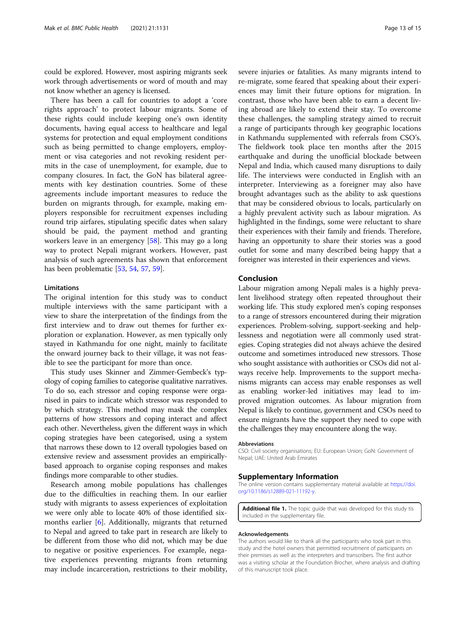<span id="page-12-0"></span>could be explored. However, most aspiring migrants seek work through advertisements or word of mouth and may not know whether an agency is licensed.

There has been a call for countries to adopt a 'core rights approach' to protect labour migrants. Some of these rights could include keeping one's own identity documents, having equal access to healthcare and legal systems for protection and equal employment conditions such as being permitted to change employers, employment or visa categories and not revoking resident permits in the case of unemployment, for example, due to company closures. In fact, the GoN has bilateral agreements with key destination countries. Some of these agreements include important measures to reduce the burden on migrants through, for example, making employers responsible for recruitment expenses including round trip airfares, stipulating specific dates when salary should be paid, the payment method and granting workers leave in an emergency [\[58](#page-14-0)]. This may go a long way to protect Nepali migrant workers. However, past analysis of such agreements has shown that enforcement has been problematic [\[53](#page-14-0), [54](#page-14-0), [57,](#page-14-0) [59\]](#page-14-0).

#### Limitations

The original intention for this study was to conduct multiple interviews with the same participant with a view to share the interpretation of the findings from the first interview and to draw out themes for further exploration or explanation. However, as men typically only stayed in Kathmandu for one night, mainly to facilitate the onward journey back to their village, it was not feasible to see the participant for more than once.

This study uses Skinner and Zimmer-Gembeck's typology of coping families to categorise qualitative narratives. To do so, each stressor and coping response were organised in pairs to indicate which stressor was responded to by which strategy. This method may mask the complex patterns of how stressors and coping interact and affect each other. Nevertheless, given the different ways in which coping strategies have been categorised, using a system that narrows these down to 12 overall typologies based on extensive review and assessment provides an empiricallybased approach to organise coping responses and makes findings more comparable to other studies.

Research among mobile populations has challenges due to the difficulties in reaching them. In our earlier study with migrants to assess experiences of exploitation we were only able to locate 40% of those identified sixmonths earlier [[6\]](#page-13-0). Additionally, migrants that returned to Nepal and agreed to take part in research are likely to be different from those who did not, which may be due to negative or positive experiences. For example, negative experiences preventing migrants from returning may include incarceration, restrictions to their mobility, severe injuries or fatalities. As many migrants intend to re-migrate, some feared that speaking about their experiences may limit their future options for migration. In contrast, those who have been able to earn a decent living abroad are likely to extend their stay. To overcome these challenges, the sampling strategy aimed to recruit a range of participants through key geographic locations in Kathmandu supplemented with referrals from CSO's. The fieldwork took place ten months after the 2015 earthquake and during the unofficial blockade between Nepal and India, which caused many disruptions to daily life. The interviews were conducted in English with an interpreter. Interviewing as a foreigner may also have brought advantages such as the ability to ask questions that may be considered obvious to locals, particularly on a highly prevalent activity such as labour migration. As highlighted in the findings, some were reluctant to share their experiences with their family and friends. Therefore, having an opportunity to share their stories was a good outlet for some and many described being happy that a foreigner was interested in their experiences and views.

#### Conclusion

Labour migration among Nepali males is a highly prevalent livelihood strategy often repeated throughout their working life. This study explored men's coping responses to a range of stressors encountered during their migration experiences. Problem-solving, support-seeking and helplessness and negotiation were all commonly used strategies. Coping strategies did not always achieve the desired outcome and sometimes introduced new stressors. Those who sought assistance with authorities or CSOs did not always receive help. Improvements to the support mechanisms migrants can access may enable responses as well as enabling worker-led initiatives may lead to improved migration outcomes. As labour migration from Nepal is likely to continue, government and CSOs need to ensure migrants have the support they need to cope with the challenges they may encountere along the way.

#### Abbreviations

CSO: Civil society organisations; EU: European Union; GoN: Government of Nepal; UAE: United Arab Emirates

#### Supplementary Information

The online version contains supplementary material available at [https://doi.](https://doi.org/10.1186/s12889-021-11192-y) [org/10.1186/s12889-021-11192-y](https://doi.org/10.1186/s12889-021-11192-y).

Additional file 1. The topic quide that was developed for this study tis included in the supplementary file.

#### Acknowledgements

The authors would like to thank all the participants who took part in this study and the hotel owners that permitted recruitment of participants on their premises as well as the interpreters and transcribers. The first author was a visiting scholar at the Foundation Brocher, where analysis and drafting of this manuscript took place.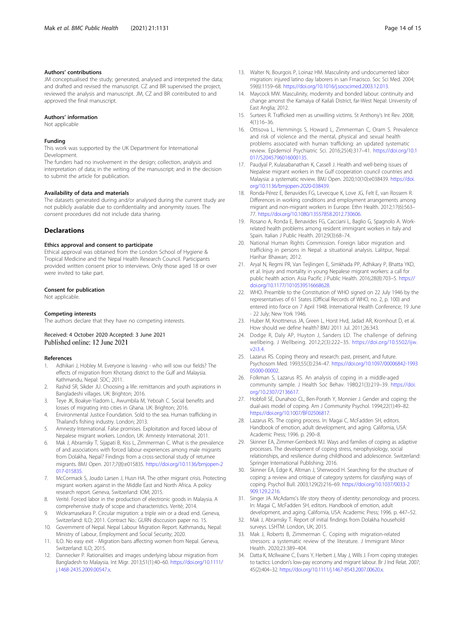#### <span id="page-13-0"></span>Authors' contributions

JM conceptualised the study; generated, analysed and interpreted the data; and drafted and revised the manuscript. CZ and BR supervised the project, reviewed the analysis and manuscript. JM, CZ and BR contributed to and approved the final manuscript.

#### Authors' information

Not applicable

# Funding

This work was supported by the UK Department for International Development.

The funders had no involvement in the design; collection, analysis and interpretation of data; in the writing of the manuscript; and in the decision to submit the article for publication.

#### Availability of data and materials

The datasets generated during and/or analysed during the current study are not publicly available due to confidentiality and anonymity issues. The consent procedures did not include data sharing.

#### Declarations

#### Ethics approval and consent to participate

Ethical approval was obtained from the London School of Hygiene & Tropical Medicine and the Nepal Health Research Council. Participants provided written consent prior to interviews. Only those aged 18 or over were invited to take part.

#### Consent for publication

Not applicable.

#### Competing interests

The authors declare that they have no competing interests.

#### Received: 4 October 2020 Accepted: 3 June 2021 Published online: 12 June 2021

#### References

- 1. Adhikari J, Hobley M. Everyone is leaving who will sow our fields? The effects of migration from Khotang district to the Gulf and Malaysia. Kathmandu, Nepal: SDC; 2011.
- 2. Rashid SR, Sikder JU. Choosing a life: remittances and youth aspirations in Bangladeshi villages. UK: Brighton; 2016.
- 3. Teye JK, Boakye-Yiadom L, Awumbila M, Yeboah C. Social benefits and losses of migrating into cities in Ghana. UK: Brighton; 2016.
- 4. Environmental Justice Foundation. Sold to the sea. Human trafficking in Thailand's fishing industry. London; 2013.
- 5. Amnesty International. False promises. Exploitation and forced labour of Nepalese migrant workers. London, UK: Amnesty International; 2011.
- Mak J, Abramsky T, Sijapati B, Kiss L, Zimmerman C. What is the prevalence of and associations with forced labour experiences among male migrants from Dolakha, Nepal? Findings from a cross-sectional study of returnee migrants. BMJ Open. 2017;7(8):e015835. [https://doi.org/10.1136/bmjopen-2](https://doi.org/10.1136/bmjopen-2017-015835) [017-015835](https://doi.org/10.1136/bmjopen-2017-015835).
- 7. McCormack S, Joudo Larsen J, Husn HA. The other migrant crisis. Protecting migrant workers against in the Middle East and North Africa. A policy research report. Geneva, Switzerland: IOM; 2015.
- 8. Verité. Forced labor in the production of electronic goods in Malaysia. A comprehensive study of scope and characteristics. Verité; 2014.
- 9. Wickramasekara P. Circular migration: a triple win or a dead end. Geneva, Switzerland: ILO; 2011. Contract No.: GURN disccusion paper no. 15.
- 10. Government of Nepal. Nepal Labour Migration Report. Kathmandu, Nepal: Ministry of Labour, Employment and Social Security; 2020.
- 11. ILO. No easy exit Migration bans affecting women from Nepal. Geneva, Switzerland: ILO; 2015.
- 12. Dannecker P. Rationalities and images underlying labour migration from Bangladesh to Malaysia. Int Migr. 2013;51(1):40–60. [https://doi.org/10.1111/](https://doi.org/10.1111/j.1468-2435.2009.00547.x) [j.1468-2435.2009.00547.x](https://doi.org/10.1111/j.1468-2435.2009.00547.x).
- 13. Walter N, Bourgois P, Loinaz HM. Masculinity and undocumented labor migration: injured latino day laborers in san Frnacisco. Soc Sci Med. 2004; 59(6):1159–68. <https://doi.org/10.1016/j.socscimed.2003.12.013>.
- 14. Maycock MW. Masculinity, modernity and bonded labour: continuity and change amonst the Kamaiya of Kailali District, far-West Nepal: University of East Anglia; 2012.
- 15. Surtees R. Trafficked men as unwilling victims. St Anthony's Int Rev. 2008; 4(1):16–36.
- 16. Ottisova L, Hemmings S, Howard L, Zimmerman C, Oram S. Prevalence and risk of violence and the mental, physical and sexual health problems associated with human trafficking: an updated systematic review. Epidemiol Psychiatric Sci. 2016;25(4):317–41. [https://doi.org/10.1](https://doi.org/10.1017/S2045796016000135) [017/S2045796016000135](https://doi.org/10.1017/S2045796016000135).
- 17. Paudyal P, Kulasabanathan K, Cassell J. Health and well-being issues of Nepalese migrant workers in the Gulf cooperation council countries and Malaysia: a systematic review. BMJ Open. 2020;10(10):e038439. [https://doi.](https://doi.org/10.1136/bmjopen-2020-038439) [org/10.1136/bmjopen-2020-038439](https://doi.org/10.1136/bmjopen-2020-038439).
- 18. Ronda-Pérez E, Benavides FG, Levecque K, Love JG, Felt E, van Rossem R. Differences in working conditions and employment arrangements among migrant and non-migrant workers in Europe. Ethn Health. 2012;17(6):563– 77. [https://doi.org/10.1080/13557858.2012.730606.](https://doi.org/10.1080/13557858.2012.730606)
- 19. Rosano A, Ronda E, Benavides FG, Cacciani L, Baglio G, Spagnolo A. Workrelated health problems among resident immigrant workers in Italy and Spain. Italian J Public Health. 2012;9(3):68–74.
- 20. National Human Rights Commission. Foreign labor migration and trafficking in persons in Nepal: a situational analysis. Lalitpur, Nepal: Harihar Bhawan; 2012.
- 21. Aryal N, Regmi PR, Van Teijlingen E, Simkhada PP, Adhikary P, Bhatta YKD, et al. Injury and mortality in young Nepalese migrant workers: a call for public health action. Asia Pacific J Public Health. 2016;28(8):703–5. [https://](https://doi.org/10.1177/1010539516668628) [doi.org/10.1177/1010539516668628.](https://doi.org/10.1177/1010539516668628)
- 22. WHO. Preamble to the Constitution of WHO signed on 22 July 1946 by the representatives of 61 States (Official Records of WHO, no. 2, p. 100) and entered into force on 7 April 1948. International Health Conference; 19 June - 22 July; New York 1946.
- 23. Huber M, Knottnerus JA, Green L, Horst Hvd, Jadad AR, Kromhout D, et al. How should we define health? BMJ 2011 Jul. 2011;26:343.
- 24. Dodge R, Daly AP, Huyton J, Sanders LD. The challenge of defining wellbeing. J Wellbeing. 2012;2(3):222–35. [https://doi.org/10.5502/ijw.](https://doi.org/10.5502/ijw.v2i3.4) [v2i3.4](https://doi.org/10.5502/ijw.v2i3.4).
- 25. Lazarus RS. Coping theory and research: past, present, and future. Psychosom Med. 1993;55(3):234–47. [https://doi.org/10.1097/00006842-1993](https://doi.org/10.1097/00006842-199305000-00002) [05000-00002.](https://doi.org/10.1097/00006842-199305000-00002)
- 26. Folkman S, Lazarus RS. An analysis of coping in a middle-aged community sample. J Health Soc Behav. 1980;21(3):219–39. [https://doi.](https://doi.org/10.2307/2136617) [org/10.2307/2136617.](https://doi.org/10.2307/2136617)
- 27. Hobfoll SE, Dunahoo CL, Ben-Porath Y, Monnier J. Gender and coping: the dual-axis model of coping. Am J Community Psychol. 1994;22(1):49–82. <https://doi.org/10.1007/BF02506817>.
- 28. Lazarus RS. The coping process. In: Magai C, McFadden SH, editors. Handbook of emotion, adult development, and aging. California, USA: Academic Press; 1996. p. 290–8.
- 29. Skinner EA, Zimmer-Gembeck MJ. Ways and families of coping as adaptive processes. The development of coping stress, nerophysiology, social relationships, and resilience during childhood and adolescence. Switzerland: Springer International Publishing; 2016.
- 30. Skinner EA, Edge K, Altman J, Sherwood H. Searching for the structure of coping: a review and critique of category systems for classifying ways of coping. Psychol Bull. 2003;129(2):216–69. [https://doi.org/10.1037/0033-2](https://doi.org/10.1037/0033-2909.129.2.216) [909.129.2.216](https://doi.org/10.1037/0033-2909.129.2.216).
- 31. Singer JA. McAdams's life story theory of identity: personology and process. In: Magai C, McFadden SH, editors. Handbook of emotion, adult development, and aging. California, USA: Academic Press; 1996. p. 447–52.
- 32. Mak J, Abramsky T. Report of initial findings from Dolakha household surveys. LSHTM: London, UK; 2015.
- 33. Mak J, Roberts B, Zimmerman C. Coping with migration-related stressors: a systematic review of the literature. J Immigrant Minor Health. 2020;23:389–404.
- 34. Datta K, McIlwaine C, Evans Y, Herbert J, May J, Wills J. From coping strategies to tactics: London's low-pay economy and migrant labour. Br J Ind Relat. 2007; 45(2):404–32. [https://doi.org/10.1111/j.1467-8543.2007.00620.x.](https://doi.org/10.1111/j.1467-8543.2007.00620.x)